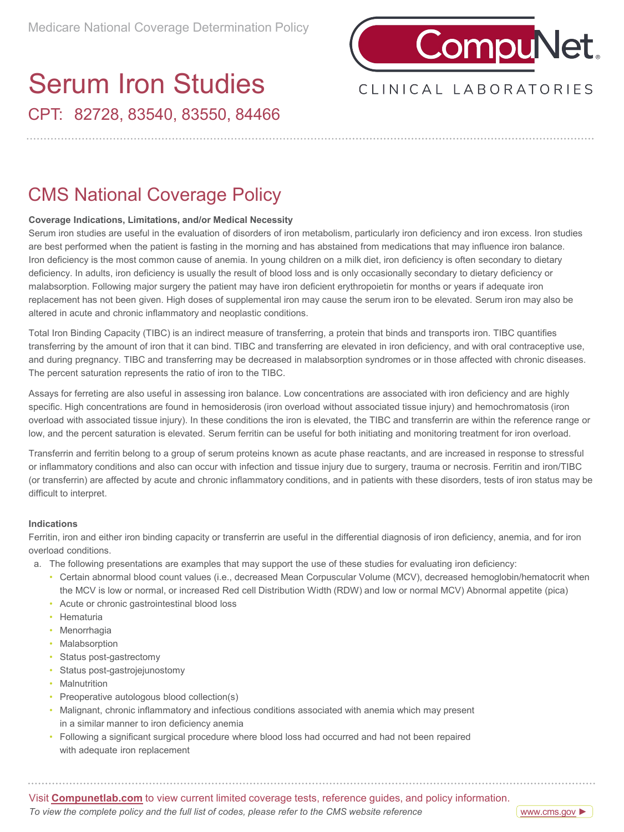

### CLINICAL LABORATORIES

## CPT: 82728, 83540, 83550, 84466 Serum Iron Studies

CMS National Coverage Policy

### **Coverage Indications, Limitations, and/or Medical Necessity**

Serum iron studies are useful in the evaluation of disorders of iron metabolism, particularly iron deficiency and iron excess. Iron studies are best performed when the patient is fasting in the morning and has abstained from medications that may influence iron balance. Iron deficiency is the most common cause of anemia. In young children on a milk diet, iron deficiency is often secondary to dietary deficiency. In adults, iron deficiency is usually the result of blood loss and is only occasionally secondary to dietary deficiency or malabsorption. Following major surgery the patient may have iron deficient erythropoietin for months or years if adequate iron replacement has not been given. High doses of supplemental iron may cause the serum iron to be elevated. Serum iron may also be altered in acute and chronic inflammatory and neoplastic conditions.

Total Iron Binding Capacity (TIBC) is an indirect measure of transferring, a protein that binds and transports iron. TIBC quantifies transferring by the amount of iron that it can bind. TIBC and transferring are elevated in iron deficiency, and with oral contraceptive use, and during pregnancy. TIBC and transferring may be decreased in malabsorption syndromes or in those affected with chronic diseases. The percent saturation represents the ratio of iron to the TIBC.

Assays for ferreting are also useful in assessing iron balance. Low concentrations are associated with iron deficiency and are highly specific. High concentrations are found in hemosiderosis (iron overload without associated tissue injury) and hemochromatosis (iron overload with associated tissue injury). In these conditions the iron is elevated, the TIBC and transferrin are within the reference range or low, and the percent saturation is elevated. Serum ferritin can be useful for both initiating and monitoring treatment for iron overload.

Transferrin and ferritin belong to a group of serum proteins known as acute phase reactants, and are increased in response to stressful or inflammatory conditions and also can occur with infection and tissue injury due to surgery, trauma or necrosis. Ferritin and iron/TIBC (or transferrin) are affected by acute and chronic inflammatory conditions, and in patients with these disorders, tests of iron status may be difficult to interpret.

#### **Indications**

Ferritin, iron and either iron binding capacity or transferrin are useful in the differential diagnosis of iron deficiency, anemia, and for iron overload conditions.

- a. The following presentations are examples that may support the use of these studies for evaluating iron deficiency:
	- Certain abnormal blood count values (i.e., decreased Mean Corpuscular Volume (MCV), decreased hemoglobin/hematocrit when the MCV is low or normal, or increased Red cell Distribution Width (RDW) and low or normal MCV) Abnormal appetite (pica)
	- Acute or chronic gastrointestinal blood loss
	- Hematuria
	- Menorrhagia
	- Malabsorption
	- Status post-gastrectomy
	- Status post-gastrojejunostomy
	- Malnutrition
	- Preoperative autologous blood collection(s)
	- Malignant, chronic inflammatory and infectious conditions associated with anemia which may present in a similar manner to iron deficiency anemia
	- Following a significant surgical procedure where blood loss had occurred and had not been repaired with adequate iron replacement

Visit **[Compunetlab.com](http://www.questdiagnostics.com/home/physicians/medicare-coverage-guide.html)** to view current limited coverage tests, reference guides, and policy information.

*To view the complete policy and the full list of codes, please refer to the CMS website reference*

[www.cms.gov](https://www.questdiagnostics.com/dms/Documents/mlcp/National-Guides/2019300-ICD-10-NCD-Manual-20190509-508/2020300_ICD_10_NCD_Manual_20200407_508.pdf) ►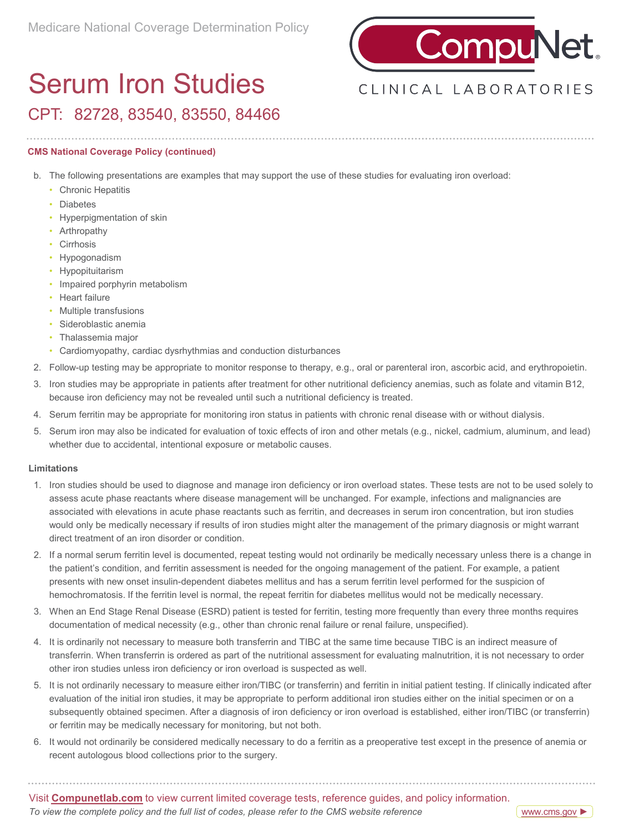

### CLINICAL LABORATORIES

## CPT: 82728, 83540, 83550, 84466 Serum Iron Studies

#### **CMS National Coverage Policy (continued)**

- b. The following presentations are examples that may support the use of these studies for evaluating iron overload:
	- Chronic Hepatitis
	- Diabetes
	- Hyperpigmentation of skin
	- Arthropathy
	- **Cirrhosis**
	- Hypogonadism
	- **Hypopituitarism**
	- Impaired porphyrin metabolism
	- Heart failure
	- Multiple transfusions
	- Sideroblastic anemia
	- Thalassemia major
	- Cardiomyopathy, cardiac dysrhythmias and conduction disturbances
- 2. Follow-up testing may be appropriate to monitor response to therapy, e.g., oral or parenteral iron, ascorbic acid, and erythropoietin.
- 3. Iron studies may be appropriate in patients after treatment for other nutritional deficiency anemias, such as folate and vitamin B12, because iron deficiency may not be revealed until such a nutritional deficiency is treated.
- 4. Serum ferritin may be appropriate for monitoring iron status in patients with chronic renal disease with or without dialysis.
- 5. Serum iron may also be indicated for evaluation of toxic effects of iron and other metals (e.g., nickel, cadmium, aluminum, and lead) whether due to accidental, intentional exposure or metabolic causes.

#### **Limitations**

- 1. Iron studies should be used to diagnose and manage iron deficiency or iron overload states. These tests are not to be used solely to assess acute phase reactants where disease management will be unchanged. For example, infections and malignancies are associated with elevations in acute phase reactants such as ferritin, and decreases in serum iron concentration, but iron studies would only be medically necessary if results of iron studies might alter the management of the primary diagnosis or might warrant direct treatment of an iron disorder or condition.
- 2. If a normal serum ferritin level is documented, repeat testing would not ordinarily be medically necessary unless there is a change in the patient's condition, and ferritin assessment is needed for the ongoing management of the patient. For example, a patient presents with new onset insulin-dependent diabetes mellitus and has a serum ferritin level performed for the suspicion of hemochromatosis. If the ferritin level is normal, the repeat ferritin for diabetes mellitus would not be medically necessary.
- 3. When an End Stage Renal Disease (ESRD) patient is tested for ferritin, testing more frequently than every three months requires documentation of medical necessity (e.g., other than chronic renal failure or renal failure, unspecified).
- 4. It is ordinarily not necessary to measure both transferrin and TIBC at the same time because TIBC is an indirect measure of transferrin. When transferrin is ordered as part of the nutritional assessment for evaluating malnutrition, it is not necessary to order other iron studies unless iron deficiency or iron overload is suspected as well.
- 5. It is not ordinarily necessary to measure either iron/TIBC (or transferrin) and ferritin in initial patient testing. If clinically indicated after evaluation of the initial iron studies, it may be appropriate to perform additional iron studies either on the initial specimen or on a subsequently obtained specimen. After a diagnosis of iron deficiency or iron overload is established, either iron/TIBC (or transferrin) or ferritin may be medically necessary for monitoring, but not both.
- 6. It would not ordinarily be considered medically necessary to do a ferritin as a preoperative test except in the presence of anemia or recent autologous blood collections prior to the surgery.

Visit **[Compunetlab.com](http://www.questdiagnostics.com/home/physicians/medicare-coverage-guide.html)** to view current limited coverage tests, reference guides, and policy information. *To view the complete policy and the full list of codes, please refer to the CMS website reference*

[www.cms.gov](https://www.questdiagnostics.com/dms/Documents/mlcp/National-Guides/2019300-ICD-10-NCD-Manual-20190509-508/2020300_ICD_10_NCD_Manual_20200407_508.pdf) ►